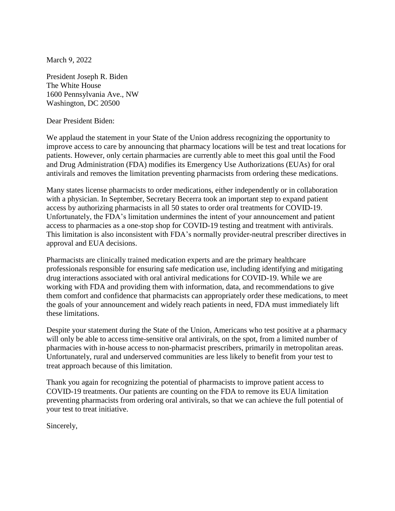March 9, 2022

President Joseph R. Biden The White House 1600 Pennsylvania Ave., NW Washington, DC 20500

Dear President Biden:

We applaud the statement in your State of the Union address recognizing the opportunity to improve access to care by announcing that pharmacy locations will be test and treat locations for patients. However, only certain pharmacies are currently able to meet this goal until the Food and Drug Administration (FDA) modifies its Emergency Use Authorizations (EUAs) for oral antivirals and removes the limitation preventing pharmacists from ordering these medications.

Many states license pharmacists to order medications, either independently or in collaboration with a physician. In September, Secretary Becerra took an important step to expand patient access by authorizing pharmacists in all 50 states to order oral treatments for COVID-19. Unfortunately, the FDA's limitation undermines the intent of your announcement and patient access to pharmacies as a one-stop shop for COVID-19 testing and treatment with antivirals. This limitation is also inconsistent with FDA's normally provider-neutral prescriber directives in approval and EUA decisions.

Pharmacists are clinically trained medication experts and are the primary healthcare professionals responsible for ensuring safe medication use, including identifying and mitigating drug interactions associated with oral antiviral medications for COVID-19. While we are working with FDA and providing them with information, data, and recommendations to give them comfort and confidence that pharmacists can appropriately order these medications, to meet the goals of your announcement and widely reach patients in need, FDA must immediately lift these limitations.

Despite your statement during the State of the Union, Americans who test positive at a pharmacy will only be able to access time-sensitive oral antivirals, on the spot, from a limited number of pharmacies with in-house access to non-pharmacist prescribers, primarily in metropolitan areas. Unfortunately, rural and underserved communities are less likely to benefit from your test to treat approach because of this limitation.

Thank you again for recognizing the potential of pharmacists to improve patient access to COVID-19 treatments. Our patients are counting on the FDA to remove its EUA limitation preventing pharmacists from ordering oral antivirals, so that we can achieve the full potential of your test to treat initiative.

Sincerely,